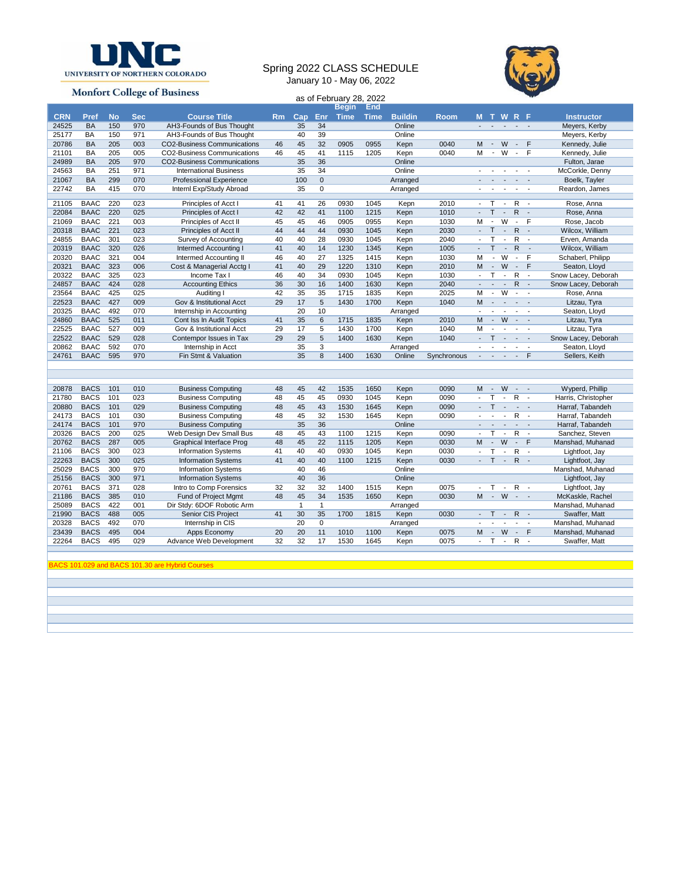

## Spring 2022 CLASS SCHEDULE January 10 - May 06, 2022



| <b>Monfort College of Business</b> |             |           |            |                                    |    |              |              |              |             |                |             |                             |                             |                          |                          |                          |                     |
|------------------------------------|-------------|-----------|------------|------------------------------------|----|--------------|--------------|--------------|-------------|----------------|-------------|-----------------------------|-----------------------------|--------------------------|--------------------------|--------------------------|---------------------|
|                                    |             |           |            | as of February 28, 2022            |    |              |              |              |             |                |             |                             |                             |                          |                          |                          |                     |
|                                    |             |           |            |                                    |    |              |              | <b>Begin</b> | End         |                |             |                             |                             |                          |                          |                          |                     |
| <b>CRN</b>                         | Pref        | <b>No</b> | <b>Sec</b> | <b>Course Title</b>                | Rm | Cap          | Enr          | <b>Time</b>  | <b>Time</b> | <b>Buildin</b> | <b>Room</b> |                             |                             | <b>MTWRF</b>             |                          |                          | <b>Instructor</b>   |
| 24525                              | <b>BA</b>   | 150       | 970        | AH3-Founds of Bus Thought          |    | 35           | 34           |              |             | Online         |             |                             |                             |                          |                          |                          | Meyers, Kerby       |
| 25177                              | <b>BA</b>   | 150       | 971        | AH3-Founds of Bus Thought          |    | 40           | 39           |              |             | Online         |             |                             |                             |                          |                          |                          | Meyers, Kerby       |
| 20786                              | <b>BA</b>   | 205       | 003        | <b>CO2-Business Communications</b> | 46 | 45           | 32           | 0905         | 0955        | Kepn           | 0040        | M                           |                             | $-W$                     | $\sim$                   | F                        | Kennedy, Julie      |
| 21101                              | BA          | 205       | 005        | <b>CO2-Business Communications</b> | 46 | 45           | 41           | 1115         | 1205        | Kepn           | 0040        | М                           | $\mathcal{L}_{\mathcal{A}}$ | W                        | $\blacksquare$           | F                        | Kennedy, Julie      |
| 24989                              | <b>BA</b>   | 205       | 970        | <b>CO2-Business Communications</b> |    | 35           | 36           |              |             | Online         |             |                             |                             |                          |                          |                          | Fulton, Jarae       |
| 24563                              | BA          | 251       | 971        | <b>International Business</b>      |    | 35           | 34           |              |             | Online         |             |                             | $\blacksquare$              | $\overline{\phantom{a}}$ | $\blacksquare$           |                          | McCorkle, Denny     |
| 21067                              | <b>BA</b>   | 299       | 070        | <b>Professional Experience</b>     |    | 100          | $\mathbf{0}$ |              |             | Arranged       |             |                             | $\sim$                      | $\sim$                   | $\sim$                   |                          | Boelk, Tayler       |
| 22742                              | <b>BA</b>   | 415       | 070        | Internl Exp/Study Abroad           |    | 35           | $\mathbf 0$  |              |             | Arranged       |             |                             |                             |                          |                          |                          | Reardon, James      |
|                                    |             |           |            |                                    |    |              |              |              |             |                |             |                             |                             |                          |                          |                          |                     |
| 21105                              | <b>BAAC</b> | 220       | 023        | Principles of Acct I               | 41 | 41           | 26           | 0930         | 1045        | Kepn           | 2010        | $\overline{\phantom{a}}$    | Τ                           | $\sim$                   | R.                       | $\sim$                   | Rose, Anna          |
| 22084                              | <b>BAAC</b> | 220       | 025        | Principles of Acct I               | 42 | 42           | 41           | 1100         | 1215        | Kepn           | 1010        | $\overline{\phantom{a}}$    | T.                          | $\blacksquare$           | $\mathsf{R}$             | $\overline{\phantom{a}}$ | Rose, Anna          |
| 21069                              | <b>BAAC</b> | 221       | 003        | Principles of Acct II              | 45 | 45           | 46           | 0905         | 0955        | Kepn           | 1030        | M                           | $\overline{\phantom{a}}$    | W                        | $\mathbb{L}$             | F                        | Rose, Jacob         |
| 20318                              | <b>BAAC</b> | 221       | 023        | Principles of Acct II              | 44 | 44           | 44           | 0930         | 1045        | Kepn           | 2030        | $\overline{\phantom{a}}$    | T.                          | $\sim$                   | $\mathsf{R}$             | $\sim$                   | Wilcox, William     |
| 24855                              | <b>BAAC</b> | 301       | 023        | Survey of Accounting               | 40 | 40           | 28           | 0930         | 1045        | Kepn           | 2040        |                             | т                           | $\overline{\phantom{a}}$ | R                        | $\sim$                   | Erven, Amanda       |
| 20319                              | <b>BAAC</b> | 320       | 026        | Intermed Accounting I              | 41 | 40           | 14           | 1230         | 1345        | Kepn           | 1005        |                             | T.                          | $\blacksquare$           | $\mathsf{R}$             | $\sim$                   | Wilcox, William     |
| 20320                              | <b>BAAC</b> | 321       | 004        | Intermed Accounting II             | 46 | 40           | 27           | 1325         | 1415        | Kepn           | 1030        | M                           | $\sim$                      | W                        | $\overline{\phantom{a}}$ | F                        | Schaberl, Philipp   |
| 20321                              | <b>BAAC</b> | 323       | 006        | Cost & Managerial Acctg I          | 41 | 40           | 29           | 1220         | 1310        | Kepn           | 2010        | M                           | $\sim$                      | W                        | $\sim$                   | F                        | Seaton, Lloyd       |
| 20322                              | <b>BAAC</b> | 325       | 023        | Income Tax I                       | 46 | 40           | 34           | 0930         | 1045        | Kepn           | 1030        |                             | T.                          | $\overline{\phantom{a}}$ | R                        | $\overline{\phantom{a}}$ | Snow Lacey, Deborah |
| 24857                              | <b>BAAC</b> | 424       | 028        | <b>Accounting Ethics</b>           | 36 | 30           | 16           | 1400         | 1630        | Kepn           | 2040        |                             | $\overline{a}$              | $\mathbb{Z}^2$           | $\mathsf{R}$             | $\sim$                   | Snow Lacey, Deborah |
| 23564                              | <b>BAAC</b> | 425       | 025        | Auditing I                         | 42 | 35           | 35           | 1715         | 1835        | Kepn           | 2025        | м                           | $\blacksquare$              | W                        | $\blacksquare$           | $\overline{\phantom{a}}$ | Rose, Anna          |
| 22523                              | <b>BAAC</b> | 427       | 009        | Gov & Institutional Acct           | 29 | 17           | 5            | 1430         | 1700        | Kepn           | 1040        | M                           | $\mathcal{L}$               | $\sim$                   | $\sim$                   | $\sim$                   | Litzau, Tyra        |
| 20325                              | <b>BAAC</b> | 492       | 070        | Internship in Accounting           |    | 20           | 10           |              |             | Arranged       |             | $\overline{a}$              | $\mathbf{r}$                | $\sim$                   | $\sim$                   | $\sim$                   | Seaton, Lloyd       |
| 24860                              | <b>BAAC</b> | 525       | 011        | Cont Iss In Audit Topics           | 41 | 35           | 6            | 1715         | 1835        | Kepn           | 2010        | M                           |                             | $-W$                     | $\blacksquare$           | $\sim$                   | Litzau, Tyra        |
| 22525                              | <b>BAAC</b> | 527       | 009        | Gov & Institutional Acct           | 29 | 17           | 5            | 1430         | 1700        | Kepn           | 1040        | М                           | $\overline{\phantom{a}}$    | $\blacksquare$           | $\overline{\phantom{a}}$ | $\sim$                   | Litzau, Tyra        |
| 22522                              | <b>BAAC</b> | 529       | 028        | Contempor Issues in Tax            | 29 | 29           | 5            | 1400         | 1630        | Kepn           | 1040        |                             | T                           | $\blacksquare$           | $\overline{\phantom{a}}$ |                          | Snow Lacey, Deborah |
| 20862                              | <b>BAAC</b> | 592       | 070        | Internship in Acct                 |    | 35           | 3            |              |             | Arranged       |             |                             | $\overline{a}$              | $\blacksquare$           | $\overline{a}$           |                          | Seaton, Lloyd       |
| 24761                              | <b>BAAC</b> | 595       | 970        | Fin Stmt & Valuation               |    | 35           | 8            | 1400         | 1630        | Online         | Synchronous | $\sim$                      | $\sim$                      | $\sim$                   | $\blacksquare$           | F                        | Sellers, Keith      |
|                                    |             |           |            |                                    |    |              |              |              |             |                |             |                             |                             |                          |                          |                          |                     |
|                                    |             |           |            |                                    |    |              |              |              |             |                |             |                             |                             |                          |                          |                          |                     |
| 20878                              | <b>BACS</b> | 101       | 010        | <b>Business Computing</b>          | 48 | 45           | 42           | 1535         | 1650        | Kepn           | 0090        | M                           | $\sim$                      | W                        | $\sim$ $ \sim$           |                          | Wyperd, Phillip     |
| 21780                              | <b>BACS</b> | 101       | 023        | <b>Business Computing</b>          | 48 | 45           | 45           | 0930         | 1045        | Kepn           | 0090        | $\sim$                      | T                           | $\blacksquare$           | R                        | $\overline{\phantom{a}}$ | Harris, Christopher |
| 20880                              | <b>BACS</b> | 101       | 029        | <b>Business Computing</b>          | 48 | 45           | 43           | 1530         | 1645        | Kepn           | 0090        |                             | T                           | $\sim$                   |                          | $\sim 100$               | Harraf, Tabandeh    |
| 24173                              | <b>BACS</b> | 101       | 030        | <b>Business Computing</b>          | 48 | 45           | 32           | 1530         | 1645        | Kepn           | 0090        |                             | $\sim$                      | $\sim$                   | $\overline{R}$           | $\sim$                   | Harraf, Tabandeh    |
| 24174                              | <b>BACS</b> | 101       | 970        | <b>Business Computing</b>          |    | 35           | 36           |              |             | Online         |             |                             |                             | $\overline{\phantom{a}}$ | $\overline{\phantom{a}}$ |                          | Harraf, Tabandeh    |
| 20326                              | <b>BACS</b> | 200       | 025        | Web Design Dev Small Bus           | 48 | 45           | 43           | 1100         | 1215        | Kepn           | 0090        |                             | T.                          | $\sim$                   | R                        | $\overline{\phantom{a}}$ | Sanchez, Steven     |
| 20762                              | <b>BACS</b> | 287       | 005        | <b>Graphical Interface Prog</b>    | 48 | 45           | 22           | 1115         | 1205        | Kepn           | 0030        | M                           | $\sim$                      | W                        | $\sim$                   | E                        | Manshad, Muhanad    |
| 21106                              | <b>BACS</b> | 300       | 023        | <b>Information Systems</b>         | 41 | 40           | 40           | 0930         | 1045        | Kepn           | 0030        |                             | T.                          | $\sim$                   | R                        | $\overline{\phantom{a}}$ | Lightfoot, Jay      |
| 22263                              | <b>BACS</b> | 300       | 025        | <b>Information Systems</b>         | 41 | 40           | 40           | 1100         | 1215        | Kepn           | 0030        | $\mathcal{L}^{\pm}$         |                             | $T - 1$                  | $R -$                    |                          | Lightfoot, Jay      |
| 25029                              | <b>BACS</b> | 300       | 970        | <b>Information Systems</b>         |    | 40           | 46           |              |             | Online         |             |                             |                             |                          |                          |                          | Manshad, Muhanad    |
| 25156                              | <b>BACS</b> | 300       | 971        | <b>Information Systems</b>         |    | 40           | 36           |              |             | Online         |             |                             |                             |                          |                          |                          | Lightfoot, Jay      |
| 20761                              | <b>BACS</b> | 371       | 028        | Intro to Comp Forensics            | 32 | 32           | 32           | 1400         | 1515        | Kepn           | 0075        | $\overline{\phantom{a}}$    | т                           | $\blacksquare$           | $\mathsf{R}$             | $\overline{\phantom{a}}$ | Lightfoot, Jay      |
| 21186                              | <b>BACS</b> | 385       | 010        | Fund of Project Mgmt               | 48 | 45           | 34           | 1535         | 1650        | Kepn           | 0030        | M                           | $\sim$                      | W                        | $\sim 100$               |                          | McKaskle, Rachel    |
| 25089                              | <b>BACS</b> | 422       | 001        | Dir Stdy: 6DOF Robotic Arm         |    | $\mathbf{1}$ | $\mathbf{1}$ |              |             | Arranged       |             |                             |                             |                          |                          |                          | Manshad, Muhanad    |
| 21990                              | <b>BACS</b> | 488       | 005        | Senior CIS Project                 | 41 | 30           | 35           | 1700         | 1815        | Kepn           | 0030        |                             |                             | $T - 1$                  | R                        | $\sim$                   | Swaffer, Matt       |
| 20328                              | <b>BACS</b> | 492       | 070        | Internship in CIS                  |    | 20           | $\mathbf 0$  |              |             | Arranged       |             |                             |                             |                          |                          | $\overline{a}$           | Manshad, Muhanad    |
| 23439                              | <b>BACS</b> | 495       | 004        | Apps Economy                       | 20 | 20           | 11           | 1010         | 1100        | Kepn           | 0075        | M                           |                             | $-W$                     | $\sim$                   | F                        | Manshad, Muhanad    |
| 22264                              | <b>BACS</b> | 495       | 029        | Advance Web Development            | 32 | 32           | 17           | 1530         | 1645        | Kepn           | 0075        | $\mathcal{L}^{\mathcal{L}}$ | $\bar{\mathbf{J}}$          | $\sim$                   | R                        | $\overline{\phantom{a}}$ | Swaffer, Matt       |
|                                    |             |           |            |                                    |    |              |              |              |             |                |             |                             |                             |                          |                          |                          |                     |

S 101.029 and BACS 101.30 are Hybrid Courses